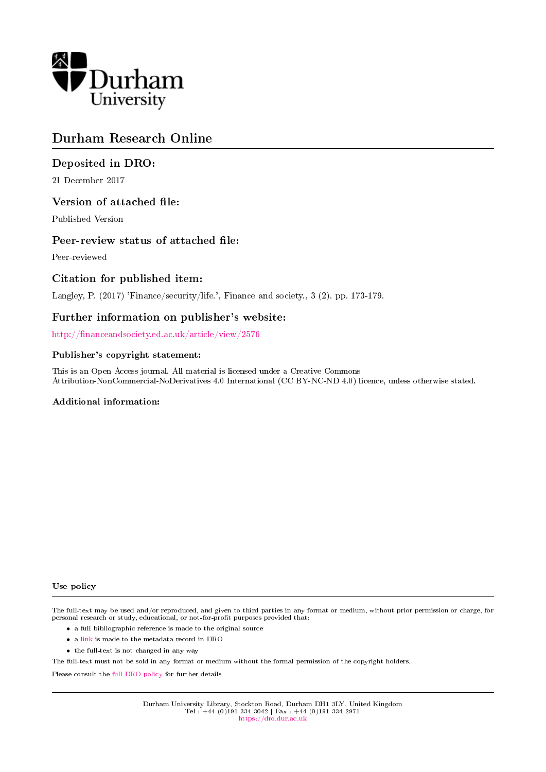

## Durham Research Online

## Deposited in DRO:

21 December 2017

## Version of attached file:

Published Version

## Peer-review status of attached file:

Peer-reviewed

## Citation for published item:

Langley, P. (2017) 'Finance/security/life.', Finance and society., 3 (2). pp. 173-179.

## Further information on publisher's website:

http://financeandsociety.ed.ac.uk/article/view/2576

#### Publisher's copyright statement:

This is an Open Access journal. All material is licensed under a Creative Commons Attribution-NonCommercial-NoDerivatives 4.0 International (CC BY-NC-ND 4.0) licence, unless otherwise stated.

#### Additional information:

#### Use policy

The full-text may be used and/or reproduced, and given to third parties in any format or medium, without prior permission or charge, for personal research or study, educational, or not-for-profit purposes provided that:

- a full bibliographic reference is made to the original source
- a [link](http://dro.dur.ac.uk/23756/) is made to the metadata record in DRO
- the full-text is not changed in any way

The full-text must not be sold in any format or medium without the formal permission of the copyright holders.

Please consult the [full DRO policy](https://dro.dur.ac.uk/policies/usepolicy.pdf) for further details.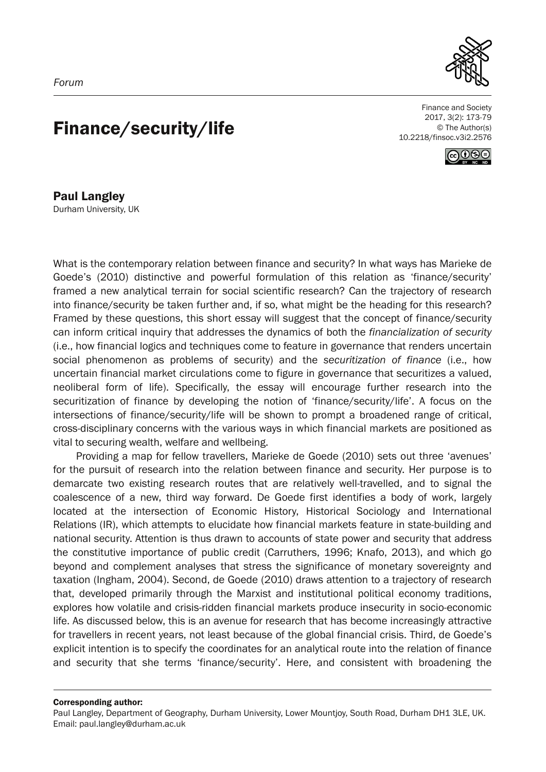

# Finance/security/life

Finance and Society 2017, 3(2): 173-79 © The Author(s) 10.2218/finsoc.v3i2.2576



Paul Langley Durham University, UK

What is the contemporary relation between finance and security? In what ways has Marieke de Goede's (2010) distinctive and powerful formulation of this relation as 'finance/security' framed a new analytical terrain for social scientific research? Can the trajectory of research into finance/security be taken further and, if so, what might be the heading for this research? Framed by these questions, this short essay will suggest that the concept of finance/security can inform critical inquiry that addresses the dynamics of both the *financialization of security* (i.e., how financial logics and techniques come to feature in governance that renders uncertain social phenomenon as problems of security) and the *securitization of finance* (i.e., how uncertain financial market circulations come to figure in governance that securitizes a valued, neoliberal form of life). Specifically, the essay will encourage further research into the securitization of finance by developing the notion of 'finance/security/life'. A focus on the intersections of finance/security/life will be shown to prompt a broadened range of critical, cross-disciplinary concerns with the various ways in which financial markets are positioned as vital to securing wealth, welfare and wellbeing.

Providing a map for fellow travellers, Marieke de Goede (2010) sets out three 'avenues' for the pursuit of research into the relation between finance and security. Her purpose is to demarcate two existing research routes that are relatively well-travelled, and to signal the coalescence of a new, third way forward. De Goede first identifies a body of work, largely located at the intersection of Economic History, Historical Sociology and International Relations (IR), which attempts to elucidate how financial markets feature in state-building and national security. Attention is thus drawn to accounts of state power and security that address the constitutive importance of public credit (Carruthers, 1996; Knafo, 2013), and which go beyond and complement analyses that stress the significance of monetary sovereignty and taxation (Ingham, 2004). Second, de Goede (2010) draws attention to a trajectory of research that, developed primarily through the Marxist and institutional political economy traditions, explores how volatile and crisis-ridden financial markets produce insecurity in socio-economic life. As discussed below, this is an avenue for research that has become increasingly attractive for travellers in recent years, not least because of the global financial crisis. Third, de Goede's explicit intention is to specify the coordinates for an analytical route into the relation of finance and security that she terms 'finance/security'. Here, and consistent with broadening the

Corresponding author:

Paul Langley, Department of Geography, Durham University, Lower Mountjoy, South Road, Durham DH1 3LE, UK. Email: paul.langley@durham.ac.uk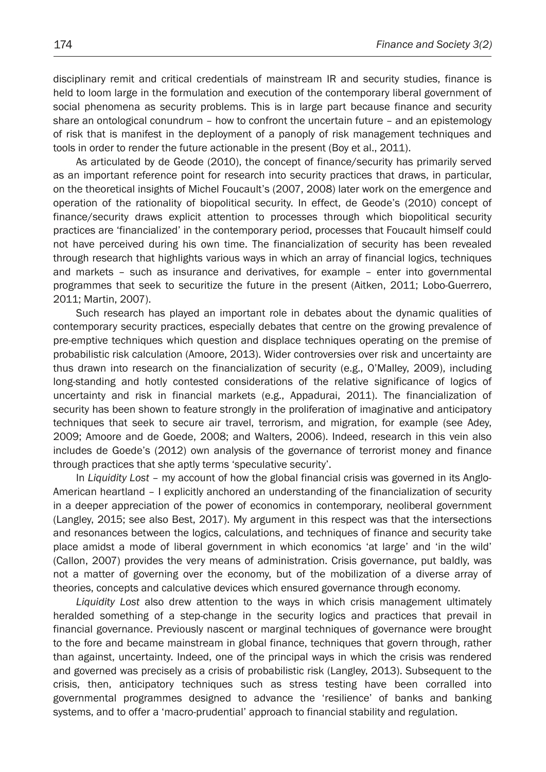disciplinary remit and critical credentials of mainstream IR and security studies, finance is held to loom large in the formulation and execution of the contemporary liberal government of social phenomena as security problems. This is in large part because finance and security share an ontological conundrum – how to confront the uncertain future – and an epistemology of risk that is manifest in the deployment of a panoply of risk management techniques and tools in order to render the future actionable in the present (Boy et al., 2011).

As articulated by de Geode (2010), the concept of finance/security has primarily served as an important reference point for research into security practices that draws, in particular, on the theoretical insights of Michel Foucault's (2007, 2008) later work on the emergence and operation of the rationality of biopolitical security. In effect, de Geode's (2010) concept of finance/security draws explicit attention to processes through which biopolitical security practices are 'financialized' in the contemporary period, processes that Foucault himself could not have perceived during his own time. The financialization of security has been revealed through research that highlights various ways in which an array of financial logics, techniques and markets – such as insurance and derivatives, for example – enter into governmental programmes that seek to securitize the future in the present (Aitken, 2011; Lobo-Guerrero, 2011; Martin, 2007).

Such research has played an important role in debates about the dynamic qualities of contemporary security practices, especially debates that centre on the growing prevalence of pre-emptive techniques which question and displace techniques operating on the premise of probabilistic risk calculation (Amoore, 2013). Wider controversies over risk and uncertainty are thus drawn into research on the financialization of security (e.g., O'Malley, 2009), including long-standing and hotly contested considerations of the relative significance of logics of uncertainty and risk in financial markets (e.g., Appadurai, 2011). The financialization of security has been shown to feature strongly in the proliferation of imaginative and anticipatory techniques that seek to secure air travel, terrorism, and migration, for example (see Adey, 2009; Amoore and de Goede, 2008; and Walters, 2006). Indeed, research in this vein also includes de Goede's (2012) own analysis of the governance of terrorist money and finance through practices that she aptly terms 'speculative security'.

In *Liquidity Lost* – my account of how the global financial crisis was governed in its Anglo-American heartland – I explicitly anchored an understanding of the financialization of security in a deeper appreciation of the power of economics in contemporary, neoliberal government (Langley, 2015; see also Best, 2017). My argument in this respect was that the intersections and resonances between the logics, calculations, and techniques of finance and security take place amidst a mode of liberal government in which economics 'at large' and 'in the wild' (Callon, 2007) provides the very means of administration. Crisis governance, put baldly, was not a matter of governing over the economy, but of the mobilization of a diverse array of theories, concepts and calculative devices which ensured governance through economy.

*Liquidity Lost* also drew attention to the ways in which crisis management ultimately heralded something of a step-change in the security logics and practices that prevail in financial governance. Previously nascent or marginal techniques of governance were brought to the fore and became mainstream in global finance, techniques that govern through, rather than against, uncertainty. Indeed, one of the principal ways in which the crisis was rendered and governed was precisely as a crisis of probabilistic risk (Langley, 2013). Subsequent to the crisis, then, anticipatory techniques such as stress testing have been corralled into governmental programmes designed to advance the 'resilience' of banks and banking systems, and to offer a 'macro-prudential' approach to financial stability and regulation.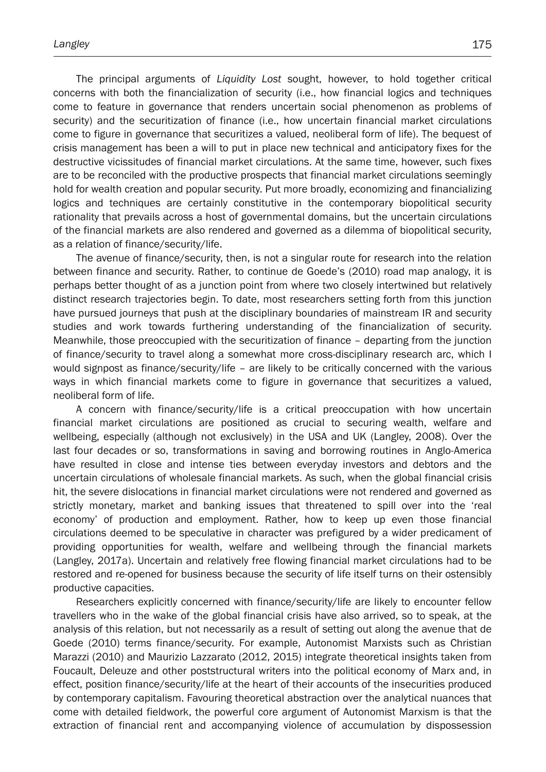The principal arguments of *Liquidity Lost* sought, however, to hold together critical concerns with both the financialization of security (i.e., how financial logics and techniques come to feature in governance that renders uncertain social phenomenon as problems of security) and the securitization of finance (i.e., how uncertain financial market circulations come to figure in governance that securitizes a valued, neoliberal form of life). The bequest of crisis management has been a will to put in place new technical and anticipatory fixes for the destructive vicissitudes of financial market circulations. At the same time, however, such fixes are to be reconciled with the productive prospects that financial market circulations seemingly hold for wealth creation and popular security. Put more broadly, economizing and financializing logics and techniques are certainly constitutive in the contemporary biopolitical security rationality that prevails across a host of governmental domains, but the uncertain circulations of the financial markets are also rendered and governed as a dilemma of biopolitical security, as a relation of finance/security/life.

The avenue of finance/security, then, is not a singular route for research into the relation between finance and security. Rather, to continue de Goede's (2010) road map analogy, it is perhaps better thought of as a junction point from where two closely intertwined but relatively distinct research trajectories begin. To date, most researchers setting forth from this junction have pursued journeys that push at the disciplinary boundaries of mainstream IR and security studies and work towards furthering understanding of the financialization of security. Meanwhile, those preoccupied with the securitization of finance – departing from the junction of finance/security to travel along a somewhat more cross-disciplinary research arc, which I would signpost as finance/security/life – are likely to be critically concerned with the various ways in which financial markets come to figure in governance that securitizes a valued, neoliberal form of life.

A concern with finance/security/life is a critical preoccupation with how uncertain financial market circulations are positioned as crucial to securing wealth, welfare and wellbeing, especially (although not exclusively) in the USA and UK (Langley, 2008). Over the last four decades or so, transformations in saving and borrowing routines in Anglo-America have resulted in close and intense ties between everyday investors and debtors and the uncertain circulations of wholesale financial markets. As such, when the global financial crisis hit, the severe dislocations in financial market circulations were not rendered and governed as strictly monetary, market and banking issues that threatened to spill over into the 'real economy' of production and employment. Rather, how to keep up even those financial circulations deemed to be speculative in character was prefigured by a wider predicament of providing opportunities for wealth, welfare and wellbeing through the financial markets (Langley, 2017a). Uncertain and relatively free flowing financial market circulations had to be restored and re-opened for business because the security of life itself turns on their ostensibly productive capacities.

Researchers explicitly concerned with finance/security/life are likely to encounter fellow travellers who in the wake of the global financial crisis have also arrived, so to speak, at the analysis of this relation, but not necessarily as a result of setting out along the avenue that de Goede (2010) terms finance/security. For example, Autonomist Marxists such as Christian Marazzi (2010) and Maurizio Lazzarato (2012, 2015) integrate theoretical insights taken from Foucault, Deleuze and other poststructural writers into the political economy of Marx and, in effect, position finance/security/life at the heart of their accounts of the insecurities produced by contemporary capitalism. Favouring theoretical abstraction over the analytical nuances that come with detailed fieldwork, the powerful core argument of Autonomist Marxism is that the extraction of financial rent and accompanying violence of accumulation by dispossession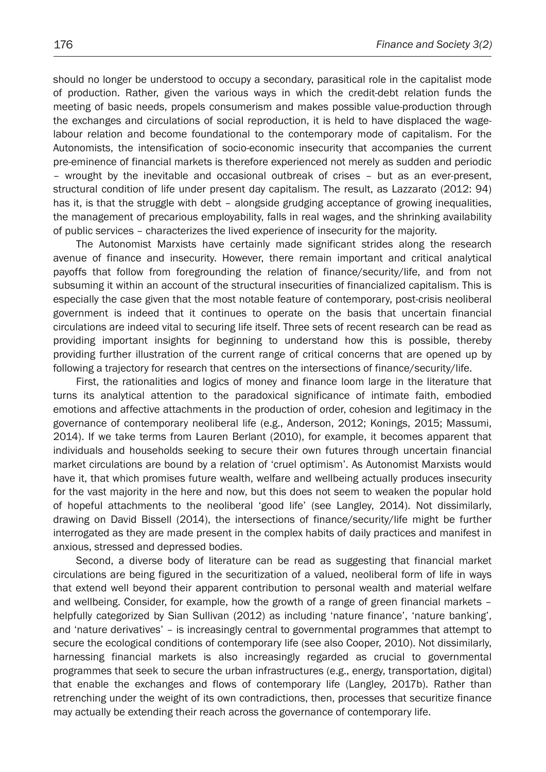should no longer be understood to occupy a secondary, parasitical role in the capitalist mode of production. Rather, given the various ways in which the credit-debt relation funds the meeting of basic needs, propels consumerism and makes possible value-production through the exchanges and circulations of social reproduction, it is held to have displaced the wagelabour relation and become foundational to the contemporary mode of capitalism. For the Autonomists, the intensification of socio-economic insecurity that accompanies the current pre-eminence of financial markets is therefore experienced not merely as sudden and periodic – wrought by the inevitable and occasional outbreak of crises – but as an ever-present, structural condition of life under present day capitalism. The result, as Lazzarato (2012: 94) has it, is that the struggle with debt – alongside grudging acceptance of growing inequalities, the management of precarious employability, falls in real wages, and the shrinking availability of public services – characterizes the lived experience of insecurity for the majority.

The Autonomist Marxists have certainly made significant strides along the research avenue of finance and insecurity. However, there remain important and critical analytical payoffs that follow from foregrounding the relation of finance/security/life, and from not subsuming it within an account of the structural insecurities of financialized capitalism. This is especially the case given that the most notable feature of contemporary, post-crisis neoliberal government is indeed that it continues to operate on the basis that uncertain financial circulations are indeed vital to securing life itself. Three sets of recent research can be read as providing important insights for beginning to understand how this is possible, thereby providing further illustration of the current range of critical concerns that are opened up by following a trajectory for research that centres on the intersections of finance/security/life.

First, the rationalities and logics of money and finance loom large in the literature that turns its analytical attention to the paradoxical significance of intimate faith, embodied emotions and affective attachments in the production of order, cohesion and legitimacy in the governance of contemporary neoliberal life (e.g., Anderson, 2012; Konings, 2015; Massumi, 2014). If we take terms from Lauren Berlant (2010), for example, it becomes apparent that individuals and households seeking to secure their own futures through uncertain financial market circulations are bound by a relation of 'cruel optimism'. As Autonomist Marxists would have it, that which promises future wealth, welfare and wellbeing actually produces insecurity for the vast majority in the here and now, but this does not seem to weaken the popular hold of hopeful attachments to the neoliberal 'good life' (see Langley, 2014). Not dissimilarly, drawing on David Bissell (2014), the intersections of finance/security/life might be further interrogated as they are made present in the complex habits of daily practices and manifest in anxious, stressed and depressed bodies.

Second, a diverse body of literature can be read as suggesting that financial market circulations are being figured in the securitization of a valued, neoliberal form of life in ways that extend well beyond their apparent contribution to personal wealth and material welfare and wellbeing. Consider, for example, how the growth of a range of green financial markets – helpfully categorized by Sian Sullivan (2012) as including 'nature finance', 'nature banking', and 'nature derivatives' – is increasingly central to governmental programmes that attempt to secure the ecological conditions of contemporary life (see also Cooper, 2010). Not dissimilarly, harnessing financial markets is also increasingly regarded as crucial to governmental programmes that seek to secure the urban infrastructures (e.g., energy, transportation, digital) that enable the exchanges and flows of contemporary life (Langley, 2017b). Rather than retrenching under the weight of its own contradictions, then, processes that securitize finance may actually be extending their reach across the governance of contemporary life.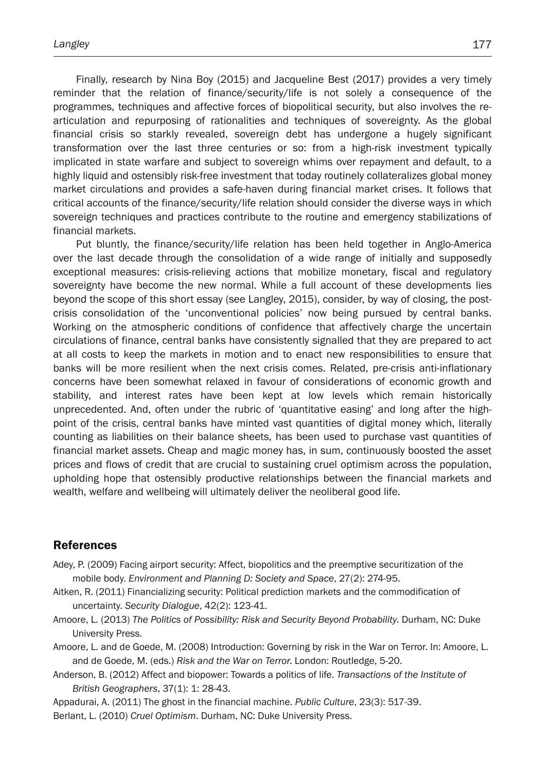Finally, research by Nina Boy (2015) and Jacqueline Best (2017) provides a very timely reminder that the relation of finance/security/life is not solely a consequence of the programmes, techniques and affective forces of biopolitical security, but also involves the rearticulation and repurposing of rationalities and techniques of sovereignty. As the global financial crisis so starkly revealed, sovereign debt has undergone a hugely significant transformation over the last three centuries or so: from a high-risk investment typically implicated in state warfare and subject to sovereign whims over repayment and default, to a highly liquid and ostensibly risk-free investment that today routinely collateralizes global money market circulations and provides a safe-haven during financial market crises. It follows that critical accounts of the finance/security/life relation should consider the diverse ways in which sovereign techniques and practices contribute to the routine and emergency stabilizations of financial markets.

Put bluntly, the finance/security/life relation has been held together in Anglo-America over the last decade through the consolidation of a wide range of initially and supposedly exceptional measures: crisis-relieving actions that mobilize monetary, fiscal and regulatory sovereignty have become the new normal. While a full account of these developments lies beyond the scope of this short essay (see Langley, 2015), consider, by way of closing, the postcrisis consolidation of the 'unconventional policies' now being pursued by central banks. Working on the atmospheric conditions of confidence that affectively charge the uncertain circulations of finance, central banks have consistently signalled that they are prepared to act at all costs to keep the markets in motion and to enact new responsibilities to ensure that banks will be more resilient when the next crisis comes. Related, pre-crisis anti-inflationary concerns have been somewhat relaxed in favour of considerations of economic growth and stability, and interest rates have been kept at low levels which remain historically unprecedented. And, often under the rubric of 'quantitative easing' and long after the highpoint of the crisis, central banks have minted vast quantities of digital money which, literally counting as liabilities on their balance sheets, has been used to purchase vast quantities of financial market assets. Cheap and magic money has, in sum, continuously boosted the asset prices and flows of credit that are crucial to sustaining cruel optimism across the population, upholding hope that ostensibly productive relationships between the financial markets and wealth, welfare and wellbeing will ultimately deliver the neoliberal good life.

## References

- Adey, P. (2009) Facing airport security: Affect, biopolitics and the preemptive securitization of the mobile body. *Environment and Planning D: Society and Space*, 27(2): 274-95.
- Aitken, R. (2011) Financializing security: Political prediction markets and the commodification of uncertainty. *Security Dialogue*, 42(2): 123-41.
- Amoore, L. (2013) *The Politics of Possibility: Risk and Security Beyond Probability*. Durham, NC: Duke University Press.
- Amoore, L. and de Goede, M. (2008) Introduction: Governing by risk in the War on Terror. In: Amoore, L. and de Goede, M. (eds.) *Risk and the War on Terror*. London: Routledge, 5-20.
- Anderson, B. (2012) Affect and biopower: Towards a politics of life. *Transactions of the Institute of British Geographers*, 37(1): 1: 28-43.

Appadurai, A. (2011) The ghost in the financial machine. *Public Culture*, 23(3): 517-39.

Berlant, L. (2010) *Cruel Optimism*. Durham, NC: Duke University Press.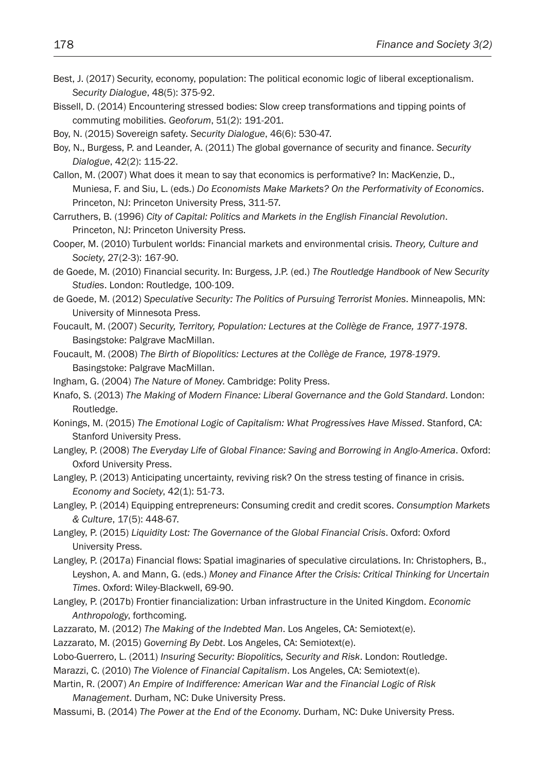- Best, J. (2017) Security, economy, population: The political economic logic of liberal exceptionalism. *Security Dialogue*, 48(5): 375-92.
- Bissell, D. (2014) Encountering stressed bodies: Slow creep transformations and tipping points of commuting mobilities. *Geoforum*, 51(2): 191-201.

Boy, N. (2015) Sovereign safety. *Security Dialogue*, 46(6): 530-47.

- Boy, N., Burgess, P. and Leander, A. (2011) The global governance of security and finance. *Security Dialogue*, 42(2): 115-22.
- Callon, M. (2007) What does it mean to say that economics is performative? In: MacKenzie, D., Muniesa, F. and Siu, L. (eds.) *Do Economists Make Markets? On the Performativity of Economics*. Princeton, NJ: Princeton University Press, 311-57.
- Carruthers, B. (1996) *City of Capital: Politics and Markets in the English Financial Revolution*. Princeton, NJ: Princeton University Press.
- Cooper, M. (2010) Turbulent worlds: Financial markets and environmental crisis. *Theory, Culture and Society*, 27(2-3): 167-90.
- de Goede, M. (2010) Financial security. In: Burgess, J.P. (ed.) *The Routledge Handbook of New Security Studies*. London: Routledge, 100-109.
- de Goede, M. (2012) *Speculative Security: The Politics of Pursuing Terrorist Monies*. Minneapolis, MN: University of Minnesota Press.
- Foucault, M. (2007) *Security, Territory, Population: Lectures at the Collège de France, 1977-1978*. Basingstoke: Palgrave MacMillan.
- Foucault, M. (2008) *The Birth of Biopolitics: Lectures at the Collège de France, 1978-1979*. Basingstoke: Palgrave MacMillan.
- Ingham, G. (2004) *The Nature of Money*. Cambridge: Polity Press.
- Knafo, S. (2013) *The Making of Modern Finance: Liberal Governance and the Gold Standard*. London: Routledge.
- Konings, M. (2015) *The Emotional Logic of Capitalism: What Progressives Have Missed*. Stanford, CA: Stanford University Press.
- Langley, P. (2008) *The Everyday Life of Global Finance: Saving and Borrowing in Anglo-America*. Oxford: Oxford University Press.
- Langley, P. (2013) Anticipating uncertainty, reviving risk? On the stress testing of finance in crisis. *Economy and Society*, 42(1): 51-73.
- Langley, P. (2014) Equipping entrepreneurs: Consuming credit and credit scores. *Consumption Markets & Culture*, 17(5): 448-67.
- Langley, P. (2015) *Liquidity Lost: The Governance of the Global Financial Crisis*. Oxford: Oxford University Press.
- Langley, P. (2017a) Financial flows: Spatial imaginaries of speculative circulations. In: Christophers, B., Leyshon, A. and Mann, G. (eds.) *Money and Finance After the Crisis: Critical Thinking for Uncertain Times*. Oxford: Wiley-Blackwell, 69-90.
- Langley, P. (2017b) Frontier financialization: Urban infrastructure in the United Kingdom. *Economic Anthropology*, forthcoming.
- Lazzarato, M. (2012) *The Making of the Indebted Man*. Los Angeles, CA: Semiotext(e).

Lazzarato, M. (2015) *Governing By Debt*. Los Angeles, CA: Semiotext(e).

- Lobo-Guerrero, L. (2011) *Insuring Security: Biopolitics, Security and Risk*. London: Routledge.
- Marazzi, C. (2010) *The Violence of Financial Capitalism*. Los Angeles, CA: Semiotext(e).
- Martin, R. (2007) *An Empire of Indifference: American War and the Financial Logic of Risk Management*. Durham, NC: Duke University Press.
- Massumi, B. (2014) *The Power at the End of the Economy*. Durham, NC: Duke University Press.